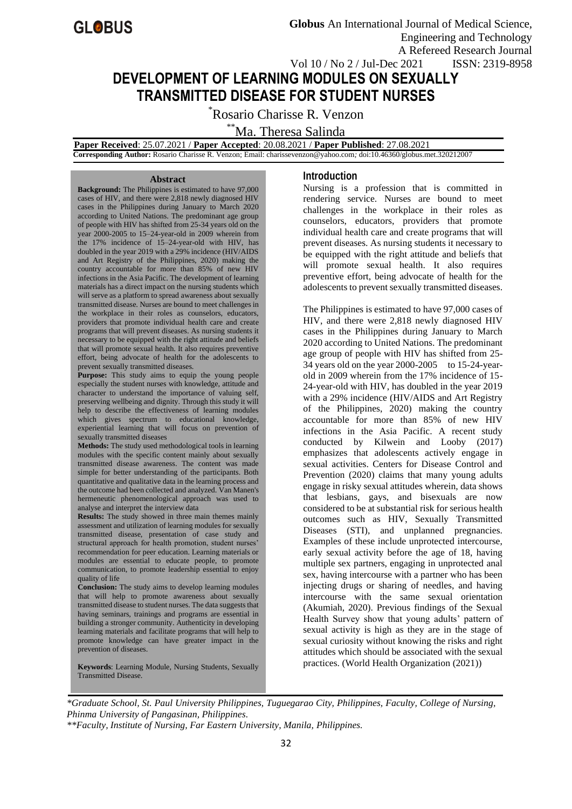

# **DEVELOPMENT OF LEARNING MODULES ON SEXUALLY TRANSMITTED DISEASE FOR STUDENT NURSES**

\*Rosario Charisse R. Venzon

\*\*Ma. Theresa Salinda

 **Paper Received**: 25.07.2021 / **Paper Accepted**: 20.08.2021 / **Paper Published**: 27.08.2021

 **Corresponding Author:** Rosario Charisse R. Venzon; Email: charissevenzon@yahoo.com*;* doi:10.46360/globus.met.320212007

#### **Abstract**

**Background:** The Philippines is estimated to have 97,000 cases of HIV, and there were 2,818 newly diagnosed HIV cases in the Philippines during January to March 2020 according to United Nations. The predominant age group of people with HIV has shifted from 25-34 years old on the year 2000-2005 to 15–24-year-old in 2009 wherein from the 17% incidence of 15–24-year-old with HIV, has doubled in the year 2019 with a 29% incidence (HIV/AIDS and Art Registry of the Philippines, 2020) making the country accountable for more than 85% of new HIV infections in the Asia Pacific. The development of learning materials has a direct impact on the nursing students which will serve as a platform to spread awareness about sexually transmitted disease. Nurses are bound to meet challenges in the workplace in their roles as counselors, educators, providers that promote individual health care and create programs that will prevent diseases. As nursing students it necessary to be equipped with the right attitude and beliefs that will promote sexual health. It also requires preventive effort, being advocate of health for the adolescents to prevent sexually transmitted diseases.

**Purpose:** This study aims to equip the young people especially the student nurses with knowledge, attitude and character to understand the importance of valuing self, preserving wellbeing and dignity. Through this study it will help to describe the effectiveness of learning modules which gives spectrum to educational knowledge, experiential learning that will focus on prevention of sexually transmitted diseases

**Methods:** The study used methodological tools in learning modules with the specific content mainly about sexually transmitted disease awareness. The content was made simple for better understanding of the participants. Both quantitative and qualitative data in the learning process and the outcome had been collected and analyzed. Van Manen's hermeneutic phenomenological approach was used to analyse and interpret the interview data

**Results:** The study showed in three main themes mainly assessment and utilization of learning modules for sexually transmitted disease, presentation of case study and structural approach for health promotion, student nurses' recommendation for peer education. Learning materials or modules are essential to educate people, to promote communication, to promote leadership essential to enjoy quality of life

**Conclusion:** The study aims to develop learning modules that will help to promote awareness about sexually transmitted disease to student nurses. The data suggests that having seminars, trainings and programs are essential in building a stronger community. Authenticity in developing learning materials and facilitate programs that will help to promote knowledge can have greater impact in the prevention of diseases.

**Keywords**: Learning Module, Nursing Students, Sexually Transmitted Disease.

#### **Introduction**

Nursing is a profession that is committed in rendering service. Nurses are bound to meet challenges in the workplace in their roles as counselors, educators, providers that promote individual health care and create programs that will prevent diseases. As nursing students it necessary to be equipped with the right attitude and beliefs that will promote sexual health. It also requires preventive effort, being advocate of health for the adolescents to prevent sexually transmitted diseases.

The Philippines is estimated to have 97,000 cases of HIV, and there were 2,818 newly diagnosed HIV cases in the Philippines during January to March 2020 according to United Nations. The predominant age group of people with HIV has shifted from 25- 34 years old on the year 2000-2005 to 15-24-yearold in 2009 wherein from the 17% incidence of 15- 24-year-old with HIV, has doubled in the year 2019 with a 29% incidence (HIV/AIDS and Art Registry of the Philippines, 2020) making the country accountable for more than 85% of new HIV infections in the Asia Pacific. A recent study conducted by Kilwein and Looby (2017) emphasizes that adolescents actively engage in sexual activities. Centers for Disease Control and Prevention (2020) claims that many young adults engage in risky sexual attitudes wherein, data shows that lesbians, gays, and bisexuals are now considered to be at substantial risk for serious health outcomes such as HIV, Sexually Transmitted Diseases (STI), and unplanned pregnancies. Examples of these include unprotected intercourse, early sexual activity before the age of 18, having multiple sex partners, engaging in unprotected anal sex, having intercourse with a partner who has been injecting drugs or sharing of needles, and having intercourse with the same sexual orientation (Akumiah, 2020). Previous findings of the Sexual Health Survey show that young adults' pattern of sexual activity is high as they are in the stage of sexual curiosity without knowing the risks and right attitudes which should be associated with the sexual practices. (World Health Organization (2021))

*\*Graduate School, St. Paul University Philippines, Tuguegarao City, Philippines, Faculty, College of Nursing, Phinma University of Pangasinan, Philippines.*

*\*\*Faculty, Institute of Nursing, Far Eastern University, Manila, Philippines.*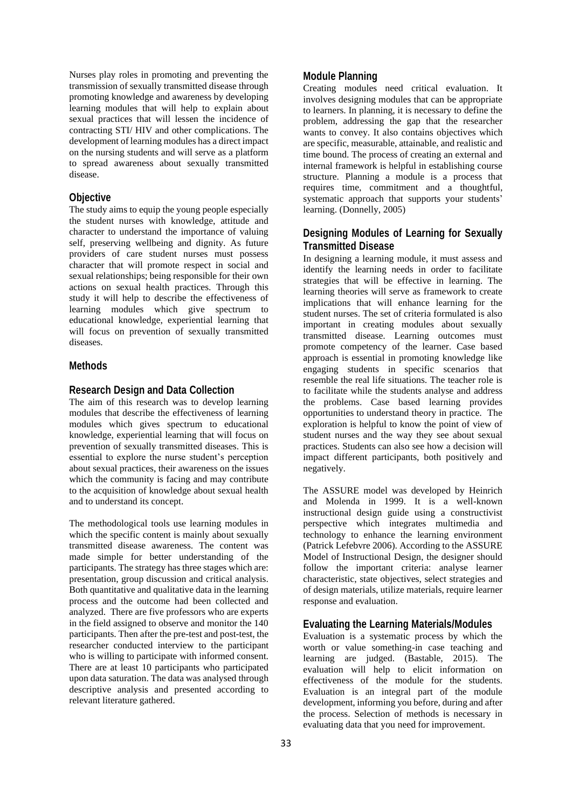Nurses play roles in promoting and preventing the transmission of sexually transmitted disease through promoting knowledge and awareness by developing learning modules that will help to explain about sexual practices that will lessen the incidence of contracting STI/ HIV and other complications. The development of learning modules has a direct impact on the nursing students and will serve as a platform to spread awareness about sexually transmitted disease.

## **Objective**

The study aims to equip the young people especially the student nurses with knowledge, attitude and character to understand the importance of valuing self, preserving wellbeing and dignity. As future providers of care student nurses must possess character that will promote respect in social and sexual relationships; being responsible for their own actions on sexual health practices. Through this study it will help to describe the effectiveness of learning modules which give spectrum to educational knowledge, experiential learning that will focus on prevention of sexually transmitted diseases.

# **Methods**

## **Research Design and Data Collection**

The aim of this research was to develop learning modules that describe the effectiveness of learning modules which gives spectrum to educational knowledge, experiential learning that will focus on prevention of sexually transmitted diseases. This is essential to explore the nurse student's perception about sexual practices, their awareness on the issues which the community is facing and may contribute to the acquisition of knowledge about sexual health and to understand its concept.

The methodological tools use learning modules in which the specific content is mainly about sexually transmitted disease awareness. The content was made simple for better understanding of the participants. The strategy has three stages which are: presentation, group discussion and critical analysis. Both quantitative and qualitative data in the learning process and the outcome had been collected and analyzed. There are five professors who are experts in the field assigned to observe and monitor the 140 participants. Then after the pre-test and post-test, the researcher conducted interview to the participant who is willing to participate with informed consent. There are at least 10 participants who participated upon data saturation. The data was analysed through descriptive analysis and presented according to relevant literature gathered.

## **Module Planning**

Creating modules need critical evaluation. It involves designing modules that can be appropriate to learners. In planning, it is necessary to define the problem, addressing the gap that the researcher wants to convey. It also contains objectives which are specific, measurable, attainable, and realistic and time bound. The process of creating an external and internal framework is helpful in establishing course structure. Planning a module is a process that requires time, commitment and a thoughtful, systematic approach that supports your students' learning. (Donnelly, 2005)

# **Designing Modules of Learning for Sexually Transmitted Disease**

In designing a learning module, it must assess and identify the learning needs in order to facilitate strategies that will be effective in learning. The learning theories will serve as framework to create implications that will enhance learning for the student nurses. The set of criteria formulated is also important in creating modules about sexually transmitted disease. Learning outcomes must promote competency of the learner. Case based approach is essential in promoting knowledge like engaging students in specific scenarios that resemble the real life situations. The teacher role is to facilitate while the students analyse and address the problems. Case based learning provides opportunities to understand theory in practice. The exploration is helpful to know the point of view of student nurses and the way they see about sexual practices. Students can also see how a decision will impact different participants, both positively and negatively.

The ASSURE model was developed by Heinrich and Molenda in 1999. It is a well-known instructional design guide using a constructivist perspective which integrates multimedia and technology to enhance the learning environment (Patrick Lefebvre 2006). According to the ASSURE Model of Instructional Design, the designer should follow the important criteria: analyse learner characteristic, state objectives, select strategies and of design materials, utilize materials, require learner response and evaluation.

## **Evaluating the Learning Materials/Modules**

Evaluation is a systematic process by which the worth or value something-in case teaching and learning are judged. (Bastable, 2015). The evaluation will help to elicit information on effectiveness of the module for the students. Evaluation is an integral part of the module development, informing you before, during and after the process. Selection of methods is necessary in evaluating data that you need for improvement.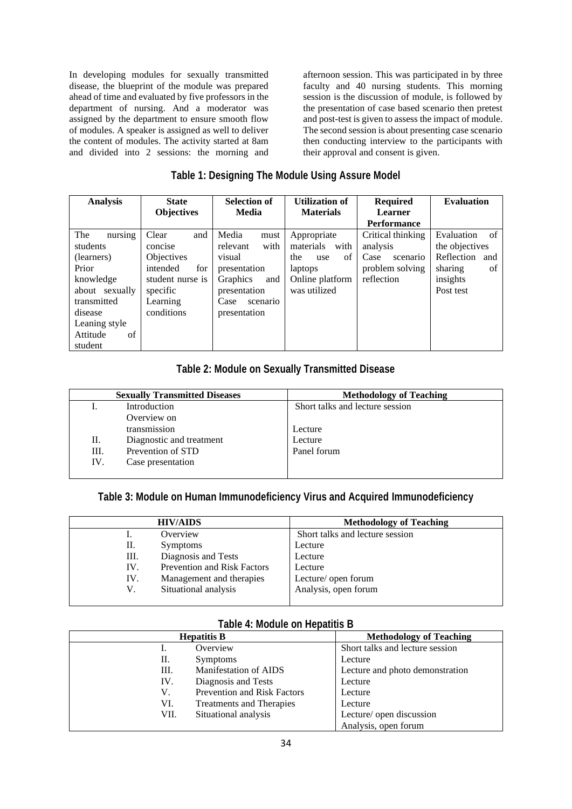In developing modules for sexually transmitted disease, the blueprint of the module was prepared ahead of time and evaluated by five professors in the department of nursing. And a moderator was assigned by the department to ensure smooth flow of modules. A speaker is assigned as well to deliver the content of modules. The activity started at 8am and divided into 2 sessions: the morning and afternoon session. This was participated in by three faculty and 40 nursing students. This morning session is the discussion of module, is followed by the presentation of case based scenario then pretest and post-test is given to assess the impact of module. The second session is about presenting case scenario then conducting interview to the participants with their approval and consent is given.

# **Table 1: Designing The Module Using Assure Model**

| <b>Analysis</b> | <b>State</b>      | <b>Selection of</b><br><b>Media</b> | <b>Utilization of</b><br><b>Materials</b> | <b>Required</b><br><b>Learner</b> | <b>Evaluation</b> |
|-----------------|-------------------|-------------------------------------|-------------------------------------------|-----------------------------------|-------------------|
|                 | <b>Objectives</b> |                                     |                                           | <b>Performance</b>                |                   |
| nursing<br>The  | Clear<br>and      | Media<br>must                       | Appropriate                               | Critical thinking                 | Evaluation<br>of  |
| students        | concise           | with<br>relevant                    | materials<br>with                         | analysis                          | the objectives    |
| (learners)      | Objectives        | visual                              | of<br>the<br>use                          | Case<br>scenario                  | Reflection<br>and |
| Prior           | intended<br>for   | presentation                        | laptops                                   | problem solving                   | sharing<br>of     |
| knowledge       | student nurse is  | Graphics<br>and                     | Online platform                           | reflection                        | insights          |
| about sexually  | specific          | presentation                        | was utilized                              |                                   | Post test         |
| transmitted     | Learning          | Case<br>scenario                    |                                           |                                   |                   |
| disease         | conditions        | presentation                        |                                           |                                   |                   |
| Leaning style   |                   |                                     |                                           |                                   |                   |
| of<br>Attitude  |                   |                                     |                                           |                                   |                   |
| student         |                   |                                     |                                           |                                   |                   |

# **Table 2: Module on Sexually Transmitted Disease**

|     | <b>Sexually Transmitted Diseases</b> | <b>Methodology of Teaching</b>  |
|-----|--------------------------------------|---------------------------------|
|     | Introduction                         | Short talks and lecture session |
|     | Overview on                          |                                 |
|     | transmission                         | Lecture                         |
| П.  | Diagnostic and treatment             | Lecture                         |
| Ш.  | Prevention of STD                    | Panel forum                     |
| IV. | Case presentation                    |                                 |
|     |                                      |                                 |

# **Table 3: Module on Human Immunodeficiency Virus and Acquired Immunodeficiency**

|     | <b>HIV/AIDS</b>             | <b>Methodology of Teaching</b>  |
|-----|-----------------------------|---------------------------------|
| Ī.  | Overview                    | Short talks and lecture session |
| П.  | <b>Symptoms</b>             | Lecture                         |
| Ш.  | Diagnosis and Tests         | Lecture                         |
| IV. | Prevention and Risk Factors | Lecture                         |
| IV. | Management and therapies    | Lecture/ open forum             |
| V.  | Situational analysis        | Analysis, open forum            |

## **Table 4: Module on Hepatitis B**

| <b>Hepatitis B</b> |                             | <b>Methodology of Teaching</b>  |  |
|--------------------|-----------------------------|---------------------------------|--|
| Ī.                 | Overview                    | Short talks and lecture session |  |
| П.                 | <b>Symptoms</b>             | Lecture                         |  |
| Ш.                 | Manifestation of AIDS       | Lecture and photo demonstration |  |
| IV.                | Diagnosis and Tests         | Lecture                         |  |
| V.                 | Prevention and Risk Factors | Lecture                         |  |
| VI.                | Treatments and Therapies    | Lecture                         |  |
| VII.               | Situational analysis        | Lecture/ open discussion        |  |
|                    |                             | Analysis, open forum            |  |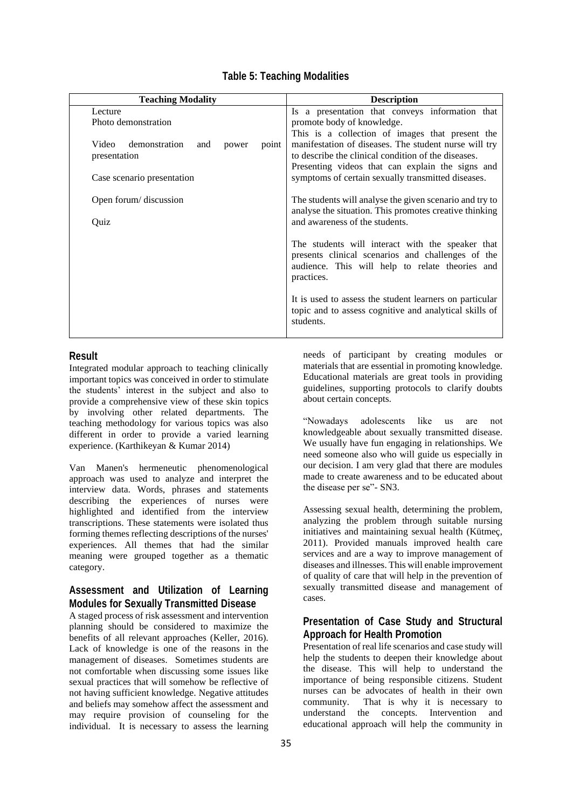|  |  | <b>Table 5: Teaching Modalities</b> |  |  |  |
|--|--|-------------------------------------|--|--|--|
|--|--|-------------------------------------|--|--|--|

| <b>Teaching Modality</b>                                                               | <b>Description</b>                                                                                                                                                                                                                                |  |  |
|----------------------------------------------------------------------------------------|---------------------------------------------------------------------------------------------------------------------------------------------------------------------------------------------------------------------------------------------------|--|--|
| Lecture                                                                                | Is a presentation that conveys information that                                                                                                                                                                                                   |  |  |
| Photo demonstration<br>Video<br>demonstration<br>point<br>and<br>power<br>presentation | promote body of knowledge.<br>This is a collection of images that present the<br>manifestation of diseases. The student nurse will try<br>to describe the clinical condition of the diseases.<br>Presenting videos that can explain the signs and |  |  |
| Case scenario presentation                                                             | symptoms of certain sexually transmitted diseases.                                                                                                                                                                                                |  |  |
| Open forum/ discussion                                                                 | The students will analyse the given scenario and try to<br>analyse the situation. This promotes creative thinking<br>and awareness of the students.                                                                                               |  |  |
| Quiz                                                                                   |                                                                                                                                                                                                                                                   |  |  |
|                                                                                        | The students will interact with the speaker that<br>presents clinical scenarios and challenges of the<br>audience. This will help to relate theories and<br>practices.                                                                            |  |  |
|                                                                                        | It is used to assess the student learners on particular<br>topic and to assess cognitive and analytical skills of<br>students.                                                                                                                    |  |  |

# **Result**

Integrated modular approach to teaching clinically important topics was conceived in order to stimulate the students' interest in the subject and also to provide a comprehensive view of these skin topics by involving other related departments. The teaching methodology for various topics was also different in order to provide a varied learning experience. (Karthikeyan & Kumar 2014)

Van Manen's hermeneutic phenomenological approach was used to analyze and interpret the interview data. Words, phrases and statements describing the experiences of nurses were highlighted and identified from the interview transcriptions. These statements were isolated thus forming themes reflecting descriptions of the nurses' experiences. All themes that had the similar meaning were grouped together as a thematic category.

# **Assessment and Utilization of Learning Modules for Sexually Transmitted Disease**

A staged process of risk assessment and intervention planning should be considered to maximize the benefits of all relevant approaches (Keller, 2016). Lack of knowledge is one of the reasons in the management of diseases. Sometimes students are not comfortable when discussing some issues like sexual practices that will somehow be reflective of not having sufficient knowledge. Negative attitudes and beliefs may somehow affect the assessment and may require provision of counseling for the individual. It is necessary to assess the learning

needs of participant by creating modules or materials that are essential in promoting knowledge. Educational materials are great tools in providing guidelines, supporting protocols to clarify doubts about certain concepts.

"Nowadays adolescents like us are not knowledgeable about sexually transmitted disease. We usually have fun engaging in relationships. We need someone also who will guide us especially in our decision. I am very glad that there are modules made to create awareness and to be educated about the disease per se"- SN3.

Assessing sexual health, determining the problem, analyzing the problem through suitable nursing initiatives and maintaining sexual health (Kütmeç, 2011). Provided manuals improved health care services and are a way to improve management of diseases and illnesses. This will enable improvement of quality of care that will help in the prevention of sexually transmitted disease and management of cases.

# **Presentation of Case Study and Structural Approach for Health Promotion**

Presentation of real life scenarios and case study will help the students to deepen their knowledge about the disease. This will help to understand the importance of being responsible citizens. Student nurses can be advocates of health in their own community. That is why it is necessary to understand the concepts. Intervention and educational approach will help the community in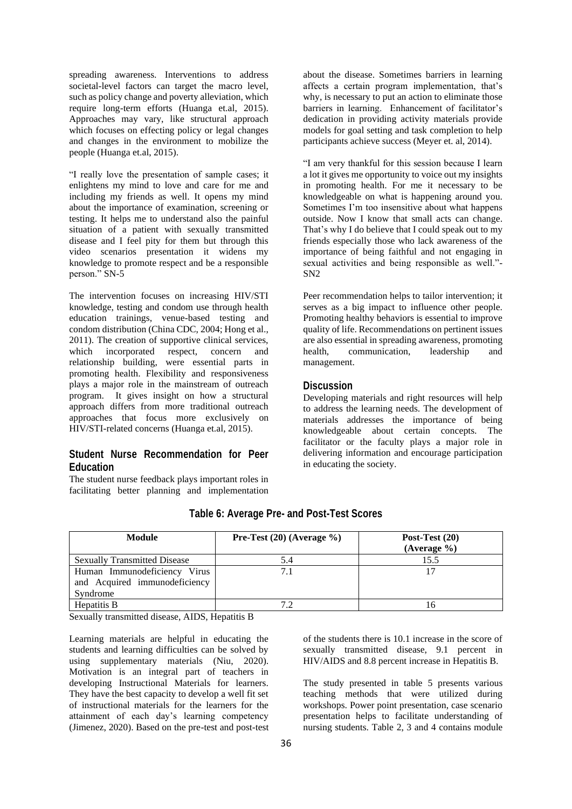spreading awareness. Interventions to address societal-level factors can target the macro level, such as policy change and poverty alleviation, which require long-term efforts (Huanga et.al, 2015). Approaches may vary, like structural approach which focuses on effecting policy or legal changes and changes in the environment to mobilize the people (Huanga et.al, 2015).

"I really love the presentation of sample cases; it enlightens my mind to love and care for me and including my friends as well. It opens my mind about the importance of examination, screening or testing. It helps me to understand also the painful situation of a patient with sexually transmitted disease and I feel pity for them but through this video scenarios presentation it widens my knowledge to promote respect and be a responsible person." SN-5

The intervention focuses on increasing HIV/STI knowledge, testing and condom use through health education trainings, venue-based testing and condom distribution (China CDC, 2004; Hong et al., 2011). The creation of supportive clinical services, which incorporated respect, concern and relationship building, were essential parts in promoting health. Flexibility and responsiveness plays a major role in the mainstream of outreach program. It gives insight on how a structural approach differs from more traditional outreach approaches that focus more exclusively on HIV/STI-related concerns (Huanga et.al, 2015).

## **Student Nurse Recommendation for Peer Education**

The student nurse feedback plays important roles in facilitating better planning and implementation about the disease. Sometimes barriers in learning affects a certain program implementation, that's why, is necessary to put an action to eliminate those barriers in learning. Enhancement of facilitator's dedication in providing activity materials provide models for goal setting and task completion to help participants achieve success (Meyer et. al, 2014).

"I am very thankful for this session because I learn a lot it gives me opportunity to voice out my insights in promoting health. For me it necessary to be knowledgeable on what is happening around you. Sometimes I'm too insensitive about what happens outside. Now I know that small acts can change. That's why I do believe that I could speak out to my friends especially those who lack awareness of the importance of being faithful and not engaging in sexual activities and being responsible as well."- SN2

Peer recommendation helps to tailor intervention; it serves as a big impact to influence other people. Promoting healthy behaviors is essential to improve quality of life. Recommendations on pertinent issues are also essential in spreading awareness, promoting health, communication, leadership and management.

## **Discussion**

Developing materials and right resources will help to address the learning needs. The development of materials addresses the importance of being knowledgeable about certain concepts. The facilitator or the faculty plays a major role in delivering information and encourage participation in educating the society.

| <b>Module</b>                                                             | Pre-Test $(20)$ (Average %) | Post-Test $(20)$<br>(Average %) |
|---------------------------------------------------------------------------|-----------------------------|---------------------------------|
| <b>Sexually Transmitted Disease</b>                                       | 5.4                         | 15.5                            |
| Human Immunodeficiency Virus<br>and Acquired immunodeficiency<br>Syndrome |                             | 17                              |
| Hepatitis B                                                               | 72                          | 16                              |

## **Table 6: Average Pre- and Post-Test Scores**

Sexually transmitted disease, AIDS, Hepatitis B

Learning materials are helpful in educating the students and learning difficulties can be solved by using supplementary materials (Niu, 2020). Motivation is an integral part of teachers in developing Instructional Materials for learners. They have the best capacity to develop a well fit set of instructional materials for the learners for the attainment of each day's learning competency (Jimenez, 2020). Based on the pre-test and post-test of the students there is 10.1 increase in the score of sexually transmitted disease, 9.1 percent in HIV/AIDS and 8.8 percent increase in Hepatitis B.

The study presented in table 5 presents various teaching methods that were utilized during workshops. Power point presentation, case scenario presentation helps to facilitate understanding of nursing students. Table 2, 3 and 4 contains module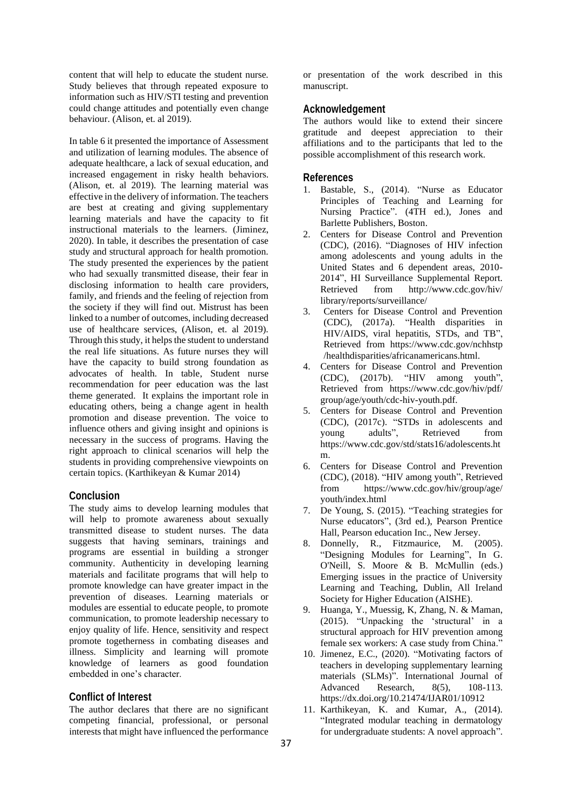content that will help to educate the student nurse. Study believes that through repeated exposure to information such as HIV/STI testing and prevention could change attitudes and potentially even change behaviour. (Alison, et. al 2019).

In table 6 it presented the importance of Assessment and utilization of learning modules. The absence of adequate healthcare, a lack of sexual education, and increased engagement in risky health behaviors. (Alison, et. al 2019). The learning material was effective in the delivery of information. The teachers are best at creating and giving supplementary learning materials and have the capacity to fit instructional materials to the learners. (Jiminez, 2020). In table, it describes the presentation of case study and structural approach for health promotion. The study presented the experiences by the patient who had sexually transmitted disease, their fear in disclosing information to health care providers, family, and friends and the feeling of rejection from the society if they will find out. Mistrust has been linked to a number of outcomes, including decreased use of healthcare services, (Alison, et. al 2019). Through this study, it helps the student to understand the real life situations. As future nurses they will have the capacity to build strong foundation as advocates of health. In table, Student nurse recommendation for peer education was the last theme generated. It explains the important role in educating others, being a change agent in health promotion and disease prevention. The voice to influence others and giving insight and opinions is necessary in the success of programs. Having the right approach to clinical scenarios will help the students in providing comprehensive viewpoints on certain topics. (Karthikeyan & Kumar 2014)

## **Conclusion**

The study aims to develop learning modules that will help to promote awareness about sexually transmitted disease to student nurses. The data suggests that having seminars, trainings and programs are essential in building a stronger community. Authenticity in developing learning materials and facilitate programs that will help to promote knowledge can have greater impact in the prevention of diseases. Learning materials or modules are essential to educate people, to promote communication, to promote leadership necessary to enjoy quality of life. Hence, sensitivity and respect promote togetherness in combating diseases and illness. Simplicity and learning will promote knowledge of learners as good foundation embedded in one's character.

#### **Conflict of Interest**

The author declares that there are no significant competing financial, professional, or personal interests that might have influenced the performance

or presentation of the work described in this manuscript.

## **Acknowledgement**

The authors would like to extend their sincere gratitude and deepest appreciation to their affiliations and to the participants that led to the possible accomplishment of this research work.

#### **References**

- 1. Bastable, S., (2014). "Nurse as Educator Principles of Teaching and Learning for Nursing Practice". (4TH ed.), Jones and Barlette Publishers, Boston.
- 2. Centers for Disease Control and Prevention (CDC), (2016). "Diagnoses of HIV infection among adolescents and young adults in the United States and 6 dependent areas, 2010- 2014", HI Surveillance Supplemental Report. Retrieved from http://www.cdc.gov/hiv/ library/reports/surveillance/
- 3. Centers for Disease Control and Prevention (CDC), (2017a). "Health disparities in HIV/AIDS, viral hepatitis, STDs, and TB", Retrieved from https://www.cdc.gov/nchhstp /healthdisparities/africanamericans.html.
- 4. Centers for Disease Control and Prevention (CDC), (2017b). "HIV among youth", Retrieved from https://www.cdc.gov/hiv/pdf/ group/age/youth/cdc-hiv-youth.pdf.
- 5. Centers for Disease Control and Prevention (CDC), (2017c). "STDs in adolescents and young adults", Retrieved from https://www.cdc.gov/std/stats16/adolescents.ht m.
- 6. Centers for Disease Control and Prevention (CDC), (2018). "HIV among youth", Retrieved from https://www.cdc.gov/hiv/group/age/ youth/index.html
- 7. De Young, S. (2015). "Teaching strategies for Nurse educators", (3rd ed.), Pearson Prentice Hall, Pearson education Inc., New Jersey.
- 8. Donnelly, R., Fitzmaurice, M. (2005). "Designing Modules for Learning", In G. O'Neill, S. Moore & B. McMullin (eds.) Emerging issues in the practice of University Learning and Teaching, Dublin, All Ireland Society for Higher Education (AISHE).
- 9. Huanga, Y., Muessig, K, Zhang, N. & Maman, (2015). "Unpacking the 'structural' in a structural approach for HIV prevention among female sex workers: A case study from China."
- 10. Jimenez, E.C., (2020). "Motivating factors of teachers in developing supplementary learning materials (SLMs)". International Journal of Advanced Research, 8(5), 108-113. https://dx.doi.org/10.21474/IJAR01/10912
- 11. Karthikeyan, K. and Kumar, A., (2014). "Integrated modular teaching in dermatology for undergraduate students: A novel approach".